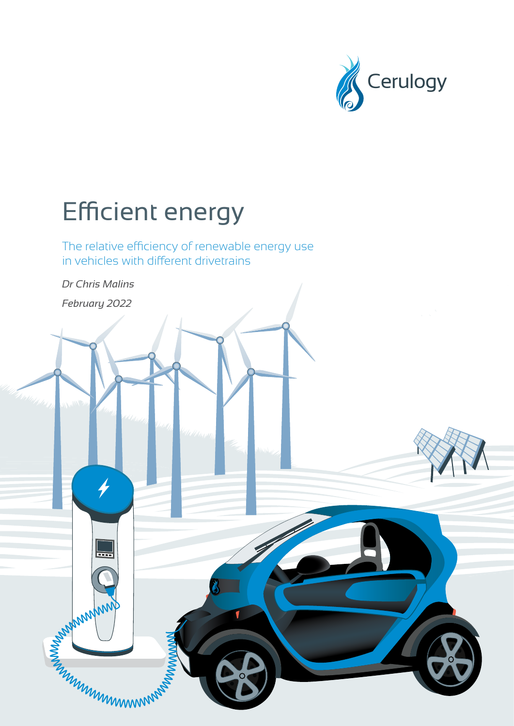

# <span id="page-0-0"></span>Efficient energy

The relative efficiency of renewable energy use in vehicles with different drivetrains

*Dr Chris Malins* 

*February 2022*

 $\frac{1}{\sqrt{2}}$ 

6

**CONSULTANT MANUTES**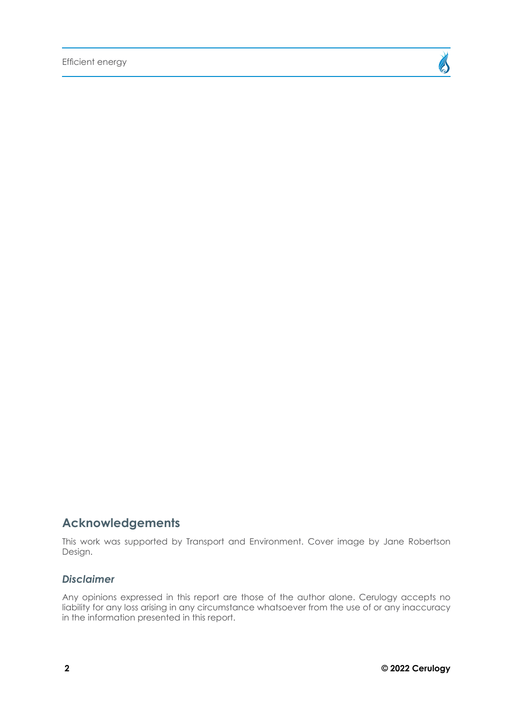

### **Acknowledgements**

This work was supported by Transport and Environment. Cover image by Jane Robertson Design.

#### *Disclaimer*

Any opinions expressed in this report are those of the author alone. Cerulogy accepts no liability for any loss arising in any circumstance whatsoever from the use of or any inaccuracy in the information presented in this report.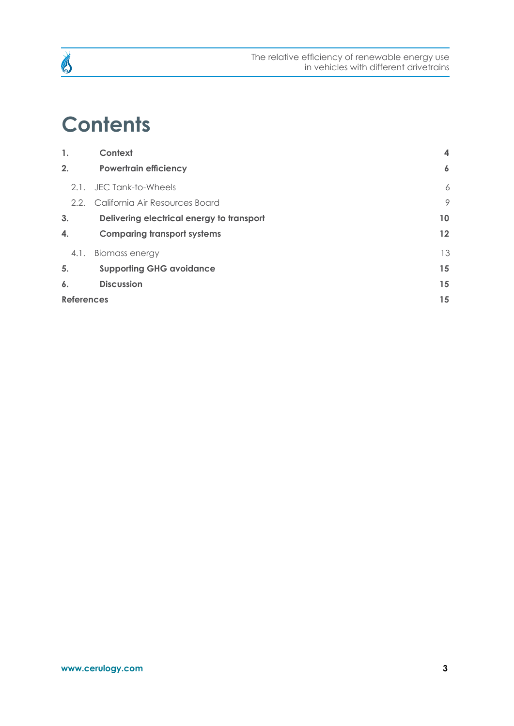

### **Contents**

| 1.                | Context                                   | $\boldsymbol{4}$    |
|-------------------|-------------------------------------------|---------------------|
| 2.                | <b>Powertrain efficiency</b>              | $\ddot{\mathbf{6}}$ |
| 2.1.              | JEC Tank-to-Wheels                        | 6                   |
|                   | 2.2. California Air Resources Board       | 9                   |
| 3.                | Delivering electrical energy to transport | 10                  |
| 4.                | <b>Comparing transport systems</b>        | $12 \,$             |
| 4.1.              | <b>Biomass energy</b>                     | 13                  |
| 5.                | <b>Supporting GHG avoidance</b>           | 15                  |
| 6.                | <b>Discussion</b>                         | 15                  |
| <b>References</b> |                                           | 15                  |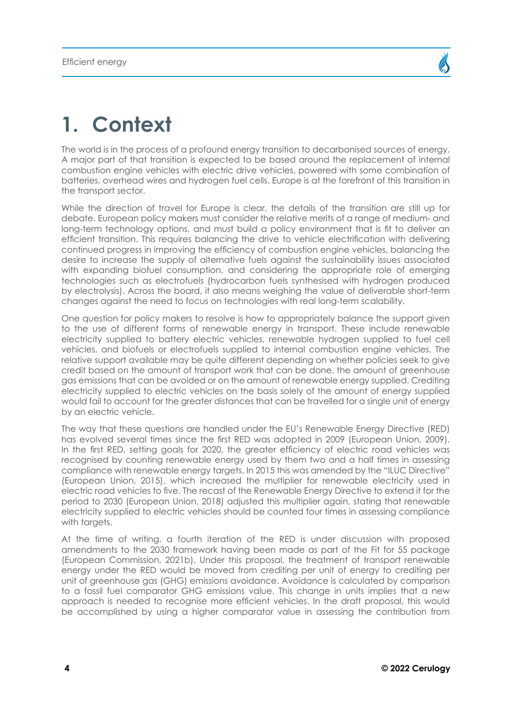## <span id="page-3-0"></span>**1. Context**

The world is in the process of a profound energy transition to decarbonised sources of energy. A major part of that transition is expected to be based around the replacement of internal combustion engine vehicles with electric drive vehicles, powered with some combination of batteries, overhead wires and hydrogen fuel cells. Europe is at the forefront of this transition in the transport sector.

While the direction of travel for Europe is clear, the details of the transition are still up for debate. European policy makers must consider the relative merits of a range of medium- and long-term technology options, and must build a policy environment that is fit to deliver an efficient transition. This requires balancing the drive to vehicle electrification with delivering continued progress in improving the efficiency of combustion engine vehicles, balancing the desire to increase the supply of alternative fuels against the sustainability issues associated with expanding biofuel consumption, and considering the appropriate role of emerging technologies such as electrofuels (hydrocarbon fuels synthesised with hydrogen produced by electrolysis). Across the board, it also means weighing the value of deliverable short-term changes against the need to focus on technologies with real long-term scalability.

One question for policy makers to resolve is how to appropriately balance the support given to the use of different forms of renewable energy in transport. These include renewable electricity supplied to battery electric vehicles, renewable hydrogen supplied to fuel cell vehicles, and biofuels or electrofuels supplied to internal combustion engine vehicles. The relative support available may be quite different depending on whether policies seek to give credit based on the amount of transport work that can be done, the amount of greenhouse gas emissions that can be avoided or on the amount of renewable energy supplied. Crediting electricity supplied to electric vehicles on the basis solely of the amount of energy supplied would fail to account for the greater distances that can be travelled for a single unit of energy by an electric vehicle.

The way that these questions are handled under the EU's Renewable Energy Directive (RED) has evolved several times since the first RED was adopted in 2009 (European Union, 2009). In the first RED, setting goals for 2020, the greater efficiency of electric road vehicles was recognised by counting renewable energy used by them two and a half times in assessing compliance with renewable energy targets. In 2015 this was amended by the "ILUC Directive" (European Union, 2015), which increased the multiplier for renewable electricity used in electric road vehicles to five. The recast of the Renewable Energy Directive to extend it for the period to 2030 (European Union, 2018) adjusted this multiplier again, stating that renewable electricity supplied to electric vehicles should be counted four times in assessing compliance with targets.

At the time of writing, a fourth iteration of the RED is under discussion with proposed amendments to the 2030 framework having been made as part of the Fit for 55 package (European Commission, 2021b). Under this proposal, the treatment of transport renewable energy under the RED would be moved from crediting per unit of energy to crediting per unit of greenhouse gas (GHG) emissions avoidance. Avoidance is calculated by comparison to a fossil fuel comparator GHG emissions value. This change in units implies that a new approach is needed to recognise more efficient vehicles. In the draft proposal, this would be accomplished by using a higher comparator value in assessing the contribution from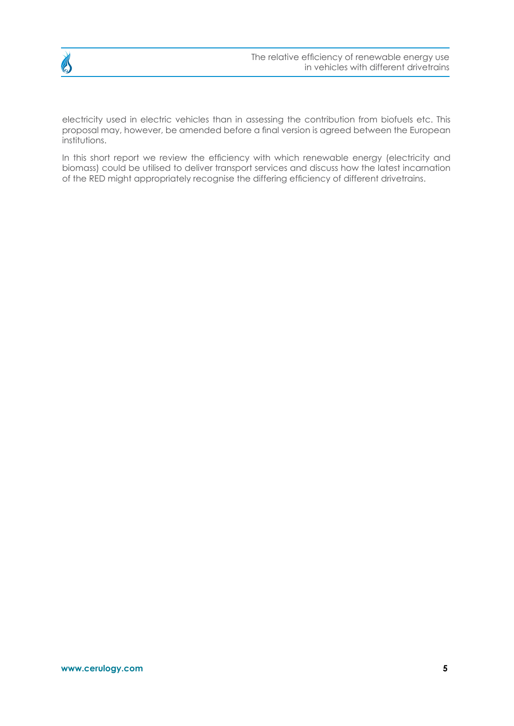

electricity used in electric vehicles than in assessing the contribution from biofuels etc. This proposal may, however, be amended before a final version is agreed between the European institutions.

In this short report we review the efficiency with which renewable energy (electricity and biomass) could be utilised to deliver transport services and discuss how the latest incarnation of the RED might appropriately recognise the differing efficiency of different drivetrains.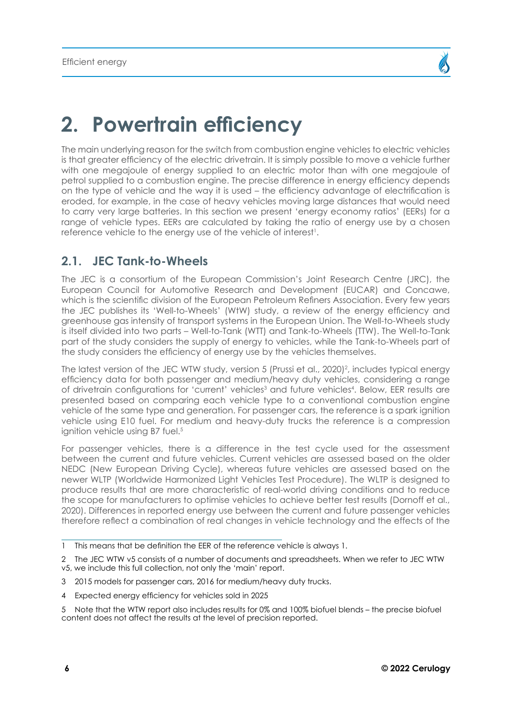### <span id="page-5-0"></span>**2. Powertrain efficiency**

The main underlying reason for the switch from combustion engine vehicles to electric vehicles is that greater efficiency of the electric drivetrain. It is simply possible to move a vehicle further with one megajoule of energy supplied to an electric motor than with one megajoule of petrol supplied to a combustion engine. The precise difference in energy efficiency depends on the type of vehicle and the way it is used – the efficiency advantage of electrification is eroded, for example, in the case of heavy vehicles moving large distances that would need to carry very large batteries. In this section we present 'energy economy ratios' (EERs) for a range of vehicle types. EERs are calculated by taking the ratio of energy use by a chosen reference vehicle to the energy use of the vehicle of interest1.

### **2.1. JEC Tank-to-Wheels**

The JEC is a consortium of the European Commission's Joint Research Centre (JRC), the European Council for Automotive Research and Development (EUCAR) and Concawe, which is the scientific division of the European Petroleum Refiners Association. Every few years the JEC publishes its 'Well-to-Wheels' (WtW) study, a review of the energy efficiency and greenhouse gas intensity of transport systems in the European Union. The Well-to-Wheels study is itself divided into two parts – Well-to-Tank (WTT) and Tank-to-Wheels (TTW). The Well-to-Tank part of the study considers the supply of energy to vehicles, while the Tank-to-Wheels part of the study considers the efficiency of energy use by the vehicles themselves.

The latest version of the JEC WTW study, version 5 (Prussi et al., 2020)<sup>2</sup>, includes typical energy efficiency data for both passenger and medium/heavy duty vehicles, considering a range of drivetrain configurations for 'current' vehicles<sup>3</sup> and future vehicles<sup>4</sup>. Below, EER results are presented based on comparing each vehicle type to a conventional combustion engine vehicle of the same type and generation. For passenger cars, the reference is a spark ignition vehicle using E10 fuel. For medium and heavy-duty trucks the reference is a compression ignition vehicle using B7 fuel.<sup>5</sup>

For passenger vehicles, there is a difference in the test cycle used for the assessment between the current and future vehicles. Current vehicles are assessed based on the older NEDC (New European Driving Cycle), whereas future vehicles are assessed based on the newer WLTP (Worldwide Harmonized Light Vehicles Test Procedure). The WLTP is designed to produce results that are more characteristic of real-world driving conditions and to reduce the scope for manufacturers to optimise vehicles to achieve better test results (Dornoff et al., 2020). Differences in reported energy use between the current and future passenger vehicles therefore reflect a combination of real changes in vehicle technology and the effects of the

- 3 2015 models for passenger cars, 2016 for medium/heavy duty trucks.
- 4 Expected energy efficiency for vehicles sold in 2025

5 Note that the WTW report also includes results for 0% and 100% biofuel blends – the precise biofuel content does not affect the results at the level of precision reported.

<sup>1</sup> This means that be definition the EER of the reference vehicle is always 1.

<sup>2</sup> The JEC WTW v5 consists of a number of documents and spreadsheets. When we refer to JEC WTW v5, we include this full collection, not only the 'main' report.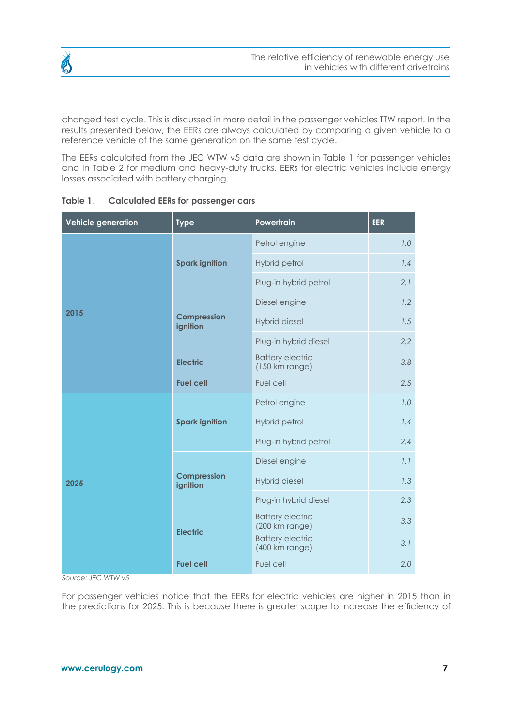

changed test cycle. This is discussed in more detail in the passenger vehicles TTW report. In the results presented below, the EERs are always calculated by comparing a given vehicle to a reference vehicle of the same generation on the same test cycle.

The EERs calculated from the JEC WTW v5 data are shown in Table 1 for passenger vehicles and in Table 2 for medium and heavy-duty trucks. EERs for electric vehicles include energy losses associated with battery charging.

| <b>Vehicle generation</b> | <b>Type</b>                    | Powertrain                                          | <b>EER</b> |
|---------------------------|--------------------------------|-----------------------------------------------------|------------|
|                           |                                | Petrol engine                                       | 1.0        |
|                           | <b>Spark ignition</b>          | Hybrid petrol                                       | 1.4        |
|                           |                                | Plug-in hybrid petrol                               | 2.1        |
|                           |                                | Diesel engine                                       | 1.2        |
| 2015                      | <b>Compression</b><br>ignition | <b>Hybrid diesel</b>                                | 1.5        |
|                           |                                | Plug-in hybrid diesel                               | 2.2        |
|                           | <b>Electric</b>                | <b>Battery electric</b><br>$(150 \text{ km range})$ | 3.8        |
|                           | <b>Fuel cell</b>               | Fuel cell                                           | 2.5        |
|                           |                                | Petrol engine                                       | 1.0        |
|                           | <b>Spark ignition</b>          | Hybrid petrol                                       | 1.4        |
|                           |                                | Plug-in hybrid petrol                               | 2.4        |
|                           |                                | Diesel engine                                       | 1.1        |
| 2025                      | <b>Compression</b><br>ignition | <b>Hybrid diesel</b>                                | 1.3        |
|                           |                                | Plug-in hybrid diesel                               | 2.3        |
|                           |                                | <b>Battery electric</b><br>(200 km range)           | 3.3        |
|                           | <b>Electric</b>                | <b>Battery electric</b><br>(400 km range)           | 3.1        |
|                           | <b>Fuel cell</b>               | Fuel cell                                           | 2.0        |

#### **Table 1. Calculated EERs for passenger cars**

*Source: JEC WTW v5*

For passenger vehicles notice that the EERs for electric vehicles are higher in 2015 than in the predictions for 2025. This is because there is greater scope to increase the efficiency of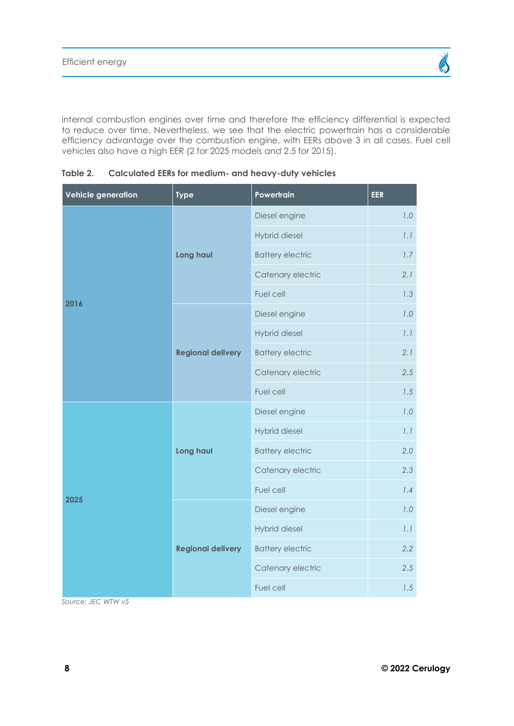internal combustion engines over time and therefore the efficiency differential is expected to reduce over time. Nevertheless, we see that the electric powertrain has a considerable efficiency advantage over the combustion engine, with EERs above 3 in all cases. Fuel cell vehicles also have a high EER (2 for 2025 models and 2.5 for 2015).

**Table 2. Calculated EERs for medium- and heavy-duty vehicles**

| <b>Vehicle generation</b> | <b>Type</b>              | Powertrain              | <b>EER</b> |
|---------------------------|--------------------------|-------------------------|------------|
|                           |                          | Diesel engine           | 1.0        |
|                           |                          | Hybrid diesel           | 1.1        |
|                           | Long haul                | <b>Battery electric</b> | 1.7        |
|                           |                          | Catenary electric       | 2.1        |
| 2016                      |                          | Fuel cell               | 1.3        |
|                           |                          | Diesel engine           | 1.0        |
|                           |                          | Hybrid diesel           | 1.1        |
|                           | <b>Regional delivery</b> | <b>Battery electric</b> | 2.1        |
|                           |                          | Catenary electric       | 2.5        |
|                           |                          | Fuel cell               | 1.5        |
|                           |                          | Diesel engine           | 1.0        |
|                           |                          | Hybrid diesel           | 1.1        |
|                           | Long haul                | <b>Battery electric</b> | 2.0        |
|                           |                          | Catenary electric       | 2.3        |
| 2025                      |                          | Fuel cell               | 1.4        |
|                           |                          | Diesel engine           | 1.0        |
|                           |                          | Hybrid diesel           | 1.1        |
|                           | <b>Regional delivery</b> | <b>Battery electric</b> | 2.2        |
|                           |                          | Catenary electric       | 2.5        |
|                           |                          | Fuel cell               | 1.5        |

*Source: JEC WTW v5*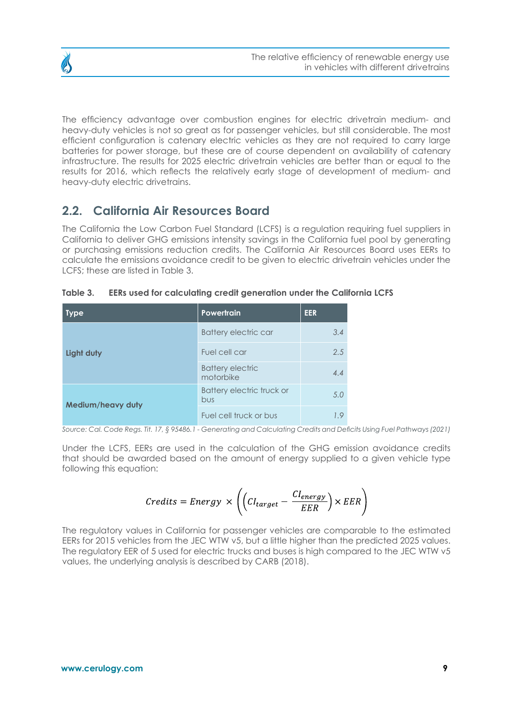

<span id="page-8-0"></span>

The efficiency advantage over combustion engines for electric drivetrain medium- and heavy-duty vehicles is not so great as for passenger vehicles, but still considerable. The most efficient configuration is catenary electric vehicles as they are not required to carry large batteries for power storage, but these are of course dependent on availability of catenary infrastructure. The results for 2025 electric drivetrain vehicles are better than or equal to the results for 2016, which reflects the relatively early stage of development of medium- and heavy-duty electric drivetrains.

### **2.2. California Air Resources Board**

The California the Low Carbon Fuel Standard (LCFS) is a regulation requiring fuel suppliers in California to deliver GHG emissions intensity savings in the California fuel pool by generating or purchasing emissions reduction credits. The California Air Resources Board uses EERs to calculate the emissions avoidance credit to be given to electric drivetrain vehicles under the LCFS; these are listed in Table 3.

| <b>Type</b>              | <b>Powertrain</b>                    | <b>EER</b>         |
|--------------------------|--------------------------------------|--------------------|
|                          | <b>Battery electric car</b>          | 3.4                |
| Light duty               | Fuel cell car                        | 2.5                |
|                          | <b>Battery electric</b><br>motorbike | 4.4                |
| <b>Medium/heavy duty</b> | Battery electric truck or<br>bus     | 5.0                |
|                          | Fuel cell truck or bus               | 1.9<br>$\cdot$ $-$ |

**Table 3. EERs used for calculating credit generation under the California LCFS**

*Source: Cal. Code Regs. Tit. 17, § 95486.1 - Generating and Calculating Credits and Deficits Using Fuel Pathways (2021)*

Under the LCFS, EERs are used in the calculation of the GHG emission avoidance credits that should be awarded based on the amount of energy supplied to a given vehicle type following this equation:

$$
Credits = Energy \times \left( \left( Cl_{target} - \frac{Cl_{energy}}{EER} \right) \times EER \right)
$$

The regulatory values in California for passenger vehicles are comparable to the estimated EERs for 2015 vehicles from the JEC WTW v5, but a little higher than the predicted 2025 values. The regulatory EER of 5 used for electric trucks and buses is high compared to the JEC WTW v5 values, the underlying analysis is described by CARB (2018).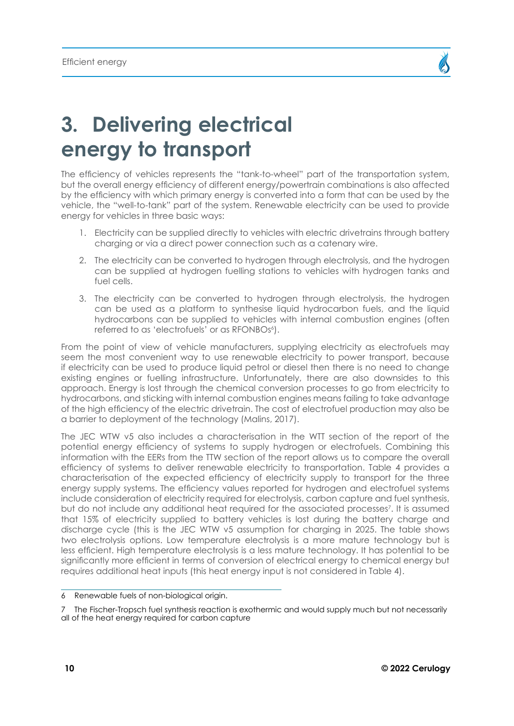

## <span id="page-9-0"></span>**3. Delivering electrical energy to transport**

The efficiency of vehicles represents the "tank-to-wheel" part of the transportation system, but the overall energy efficiency of different energy/powertrain combinations is also affected by the efficiency with which primary energy is converted into a form that can be used by the vehicle, the "well-to-tank" part of the system. Renewable electricity can be used to provide energy for vehicles in three basic ways:

- 1. Electricity can be supplied directly to vehicles with electric drivetrains through battery charging or via a direct power connection such as a catenary wire.
- 2. The electricity can be converted to hydrogen through electrolysis, and the hydrogen can be supplied at hydrogen fuelling stations to vehicles with hydrogen tanks and fuel cells.
- 3. The electricity can be converted to hydrogen through electrolysis, the hydrogen can be used as a platform to synthesise liquid hydrocarbon fuels, and the liquid hydrocarbons can be supplied to vehicles with internal combustion engines (often referred to as 'electrofuels' or as RFONBOs<sup>6</sup>).

From the point of view of vehicle manufacturers, supplying electricity as electrofuels may seem the most convenient way to use renewable electricity to power transport, because if electricity can be used to produce liquid petrol or diesel then there is no need to change existing engines or fuelling infrastructure. Unfortunately, there are also downsides to this approach. Energy is lost through the chemical conversion processes to go from electricity to hydrocarbons, and sticking with internal combustion engines means failing to take advantage of the high efficiency of the electric drivetrain. The cost of electrofuel production may also be a barrier to deployment of the technology (Malins, 2017).

The JEC WTW v5 also includes a characterisation in the WTT section of the report of the potential energy efficiency of systems to supply hydrogen or electrofuels. Combining this information with the EERs from the TTW section of the report allows us to compare the overall efficiency of systems to deliver renewable electricity to transportation. Table 4 provides a characterisation of the expected efficiency of electricity supply to transport for the three energy supply systems. The efficiency values reported for hydrogen and electrofuel systems include consideration of electricity required for electrolysis, carbon capture and fuel synthesis, but do not include any additional heat required for the associated processes7 . It is assumed that 15% of electricity supplied to battery vehicles is lost during the battery charge and discharge cycle (this is the JEC WTW v5 assumption for charging in 2025. The table shows two electrolysis options. Low temperature electrolysis is a more mature technology but is less efficient. High temperature electrolysis is a less mature technology. It has potential to be significantly more efficient in terms of conversion of electrical energy to chemical energy but requires additional heat inputs (this heat energy input is not considered in Table 4).

<sup>6</sup> Renewable fuels of non-biological origin.

<sup>7</sup> The Fischer-Tropsch fuel synthesis reaction is exothermic and would supply much but not necessarily all of the heat energy required for carbon capture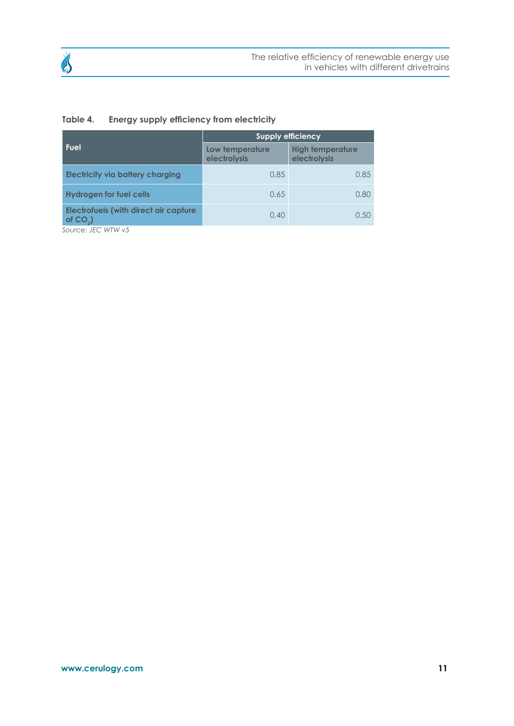

| Table 4. |  |  |  |  | Energy supply efficiency from electricity |
|----------|--|--|--|--|-------------------------------------------|
|----------|--|--|--|--|-------------------------------------------|

|                                                            | <b>Supply efficiency</b>        |                                         |  |  |
|------------------------------------------------------------|---------------------------------|-----------------------------------------|--|--|
| Fuel                                                       | Low temperature<br>electrolysis | <b>High temperature</b><br>electrolysis |  |  |
| <b>Electricity via battery charging</b>                    | 0.85                            | 0.85                                    |  |  |
| <b>Hydrogen for fuel cells</b>                             | 0.65                            | 0.80                                    |  |  |
| <b>Electrofuels (with direct air capture</b><br>of $CO2$ ) | 0.40                            | 0.50                                    |  |  |

*Source: JEC WTW v5*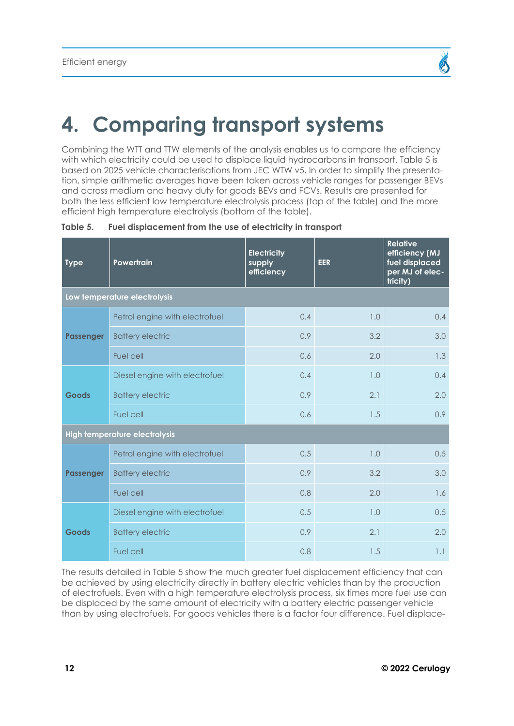## <span id="page-11-0"></span>**4. Comparing transport systems**

Combining the WTT and TTW elements of the analysis enables us to compare the efficiency with which electricity could be used to displace liquid hydrocarbons in transport. Table 5 is based on 2025 vehicle characterisations from JEC WTW v5. In order to simplify the presentation, simple arithmetic averages have been taken across vehicle ranges for passenger BEVs and across medium and heavy duty for goods BEVs and FCVs. Results are presented for both the less efficient low temperature electrolysis process (top of the table) and the more efficient high temperature electrolysis (bottom of the table).

| <b>Type</b>      | Powertrain                     | <b>Electricity</b><br>supply<br>efficiency | <b>EER</b> | <b>Relative</b><br>efficiency (MJ<br>fuel displaced<br>per MJ of elec-<br>tricity) |  |  |  |
|------------------|--------------------------------|--------------------------------------------|------------|------------------------------------------------------------------------------------|--|--|--|
|                  | Low temperature electrolysis   |                                            |            |                                                                                    |  |  |  |
|                  | Petrol engine with electrofuel | 0.4                                        | 1.0        | 0.4                                                                                |  |  |  |
| <b>Passenger</b> | <b>Battery electric</b>        | 0.9                                        | 3.2        | 3.0                                                                                |  |  |  |
|                  | Fuel cell                      | 0.6                                        | 2.0        | 1.3                                                                                |  |  |  |
|                  | Diesel engine with electrofuel | 0.4                                        | 1.0        | 0.4                                                                                |  |  |  |
| Goods            | <b>Battery electric</b>        | 0.9                                        | 2.1        | 2.0                                                                                |  |  |  |
|                  | <b>Fuel cell</b>               | 0.6                                        | 1.5        | 0.9                                                                                |  |  |  |
|                  | High temperature electrolysis  |                                            |            |                                                                                    |  |  |  |
|                  | Petrol engine with electrofuel | 0.5                                        | 1.0        | 0.5                                                                                |  |  |  |
| Passenger        | <b>Battery electric</b>        | 0.9                                        | 3.2        | 3.0                                                                                |  |  |  |
|                  | Fuel cell                      | 0.8                                        | 2.0        | 1.6                                                                                |  |  |  |
| Goods            | Diesel engine with electrofuel | 0.5                                        | 1.0        | 0.5                                                                                |  |  |  |
|                  | <b>Battery electric</b>        | 0.9                                        | 2.1        | 2.0                                                                                |  |  |  |
|                  | Fuel cell                      | 0.8                                        | 1.5        | 1.1                                                                                |  |  |  |

**Table 5. Fuel displacement from the use of electricity in transport**

The results detailed in Table 5 show the much greater fuel displacement efficiency that can be achieved by using electricity directly in battery electric vehicles than by the production of electrofuels. Even with a high temperature electrolysis process, six times more fuel use can be displaced by the same amount of electricity with a battery electric passenger vehicle than by using electrofuels. For goods vehicles there is a factor four difference. Fuel displace-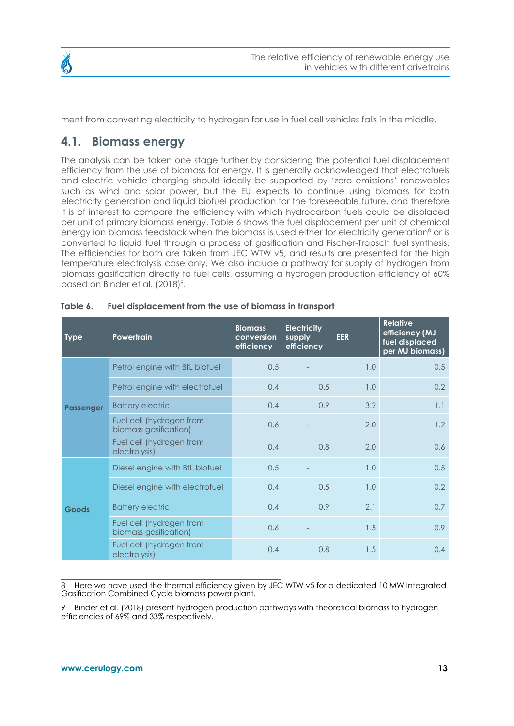<span id="page-12-0"></span>

ment from converting electricity to hydrogen for use in fuel cell vehicles falls in the middle.

#### **4.1. Biomass energy**

The analysis can be taken one stage further by considering the potential fuel displacement efficiency from the use of biomass for energy. It is generally acknowledged that electrofuels and electric vehicle charging should ideally be supported by 'zero emissions' renewables such as wind and solar power, but the EU expects to continue using biomass for both electricity generation and liquid biofuel production for the foreseeable future, and therefore it is of interest to compare the efficiency with which hydrocarbon fuels could be displaced per unit of primary biomass energy. Table 6 shows the fuel displacement per unit of chemical energy ion biomass feedstock when the biomass is used either for electricity generation<sup>8</sup> or is converted to liquid fuel through a process of gasification and Fischer-Tropsch fuel synthesis. The efficiencies for both are taken from JEC WTW v5, and results are presented for the high temperature electrolysis case only. We also include a pathway for supply of hydrogen from biomass gasification directly to fuel cells, assuming a hydrogen production efficiency of 60% based on Binder et al. (2018)<sup>9</sup>.

| <b>Type</b>      | <b>Powertrain</b>                                 | <b>Biomass</b><br>conversion<br>efficiency | <b>Electricity</b><br>supply<br>efficiency | <b>EER</b> | <b>Relative</b><br>efficiency (MJ<br>fuel displaced<br>per MJ biomass) |
|------------------|---------------------------------------------------|--------------------------------------------|--------------------------------------------|------------|------------------------------------------------------------------------|
|                  | Petrol engine with BtL biofuel                    | 0.5                                        |                                            | 1.0        | 0.5                                                                    |
|                  | Petrol engine with electrofuel                    | 0.4                                        | 0.5                                        | 1.0        | 0.2                                                                    |
| <b>Passenger</b> | <b>Battery electric</b>                           | 0.4                                        | 0.9                                        | 3.2        | 1.1                                                                    |
|                  | Fuel cell (hydrogen from<br>biomass gasification) | 0.6                                        |                                            | 2.0        | 1.2                                                                    |
|                  | Fuel cell (hydrogen from<br>electrolysis)         | 0.4                                        | 0.8                                        | 2.0        | 0.6                                                                    |
| <b>Goods</b>     | Diesel engine with BtL biofuel                    | 0.5                                        |                                            | 1.0        | 0.5                                                                    |
|                  | Diesel engine with electrofuel                    | 0.4                                        | 0.5                                        | 1.0        | $0.2^{\circ}$                                                          |
|                  | <b>Battery electric</b>                           | 0.4                                        | 0.9                                        | 2.1        | 0.7                                                                    |
|                  | Fuel cell (hydrogen from<br>biomass gasification) | 0.6                                        |                                            | 1.5        | 0.9 <sup>°</sup>                                                       |
|                  | Fuel cell (hydrogen from<br>electrolysis)         | 0.4                                        | 0.8                                        | 1.5        | 0.4                                                                    |

| Table 6. | Fuel displacement from the use of biomass in transport |
|----------|--------------------------------------------------------|
|----------|--------------------------------------------------------|

8 Here we have used the thermal efficiency given by JEC WTW v5 for a dedicated 10 MW Integrated Gasification Combined Cycle biomass power plant.

9 Binder et al. (2018) present hydrogen production pathways with theoretical biomass to hydrogen efficiencies of 69% and 33% respectively.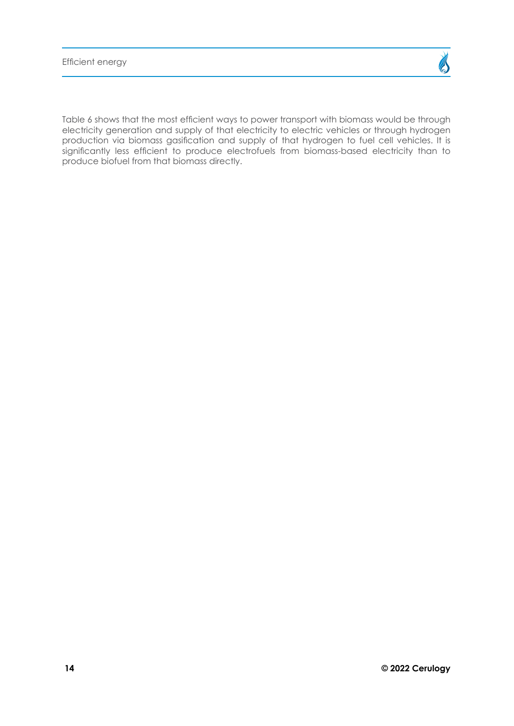Table 6 shows that the most efficient ways to power transport with biomass would be through electricity generation and supply of that electricity to electric vehicles or through hydrogen production via biomass gasification and supply of that hydrogen to fuel cell vehicles. It is significantly less efficient to produce electrofuels from biomass-based electricity than to produce biofuel from that biomass directly.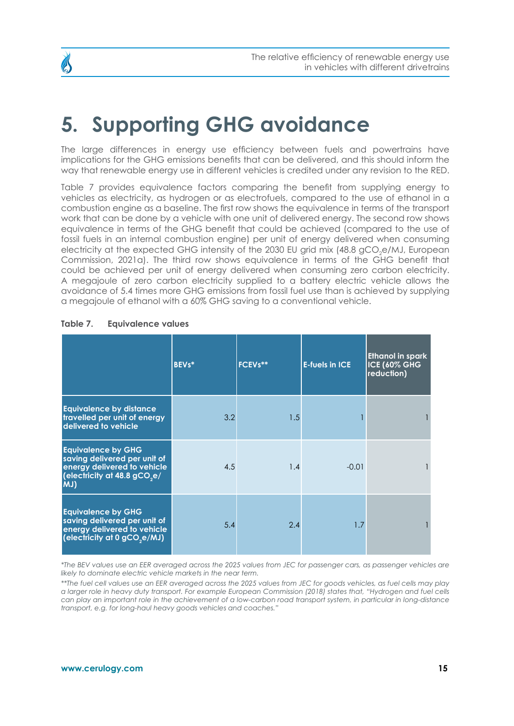<span id="page-14-0"></span>

### **5. Supporting GHG avoidance**

The large differences in energy use efficiency between fuels and powertrains have implications for the GHG emissions benefits that can be delivered, and this should inform the way that renewable energy use in different vehicles is credited under any revision to the RED.

Table 7 provides equivalence factors comparing the benefit from supplying energy to vehicles as electricity, as hydrogen or as electrofuels, compared to the use of ethanol in a combustion engine as a baseline. The first row shows the equivalence in terms of the transport work that can be done by a vehicle with one unit of delivered energy. The second row shows equivalence in terms of the GHG benefit that could be achieved (compared to the use of fossil fuels in an internal combustion engine) per unit of energy delivered when consuming electricity at the expected GHG intensity of the 2030 EU grid mix (48.8 gCO<sub>2</sub>e/MJ, European Commission, 2021a). The third row shows equivalence in terms of the GHG benefit that could be achieved per unit of energy delivered when consuming zero carbon electricity. A megajoule of zero carbon electricity supplied to a battery electric vehicle allows the avoidance of 5.4 times more GHG emissions from fossil fuel use than is achieved by supplying a megajoule of ethanol with a 60% GHG saving to a conventional vehicle.

|                                                                                                                                              | <b>BEVs*</b> | FCEVs** | <b>E-fuels in ICE</b> | Ethanol in spark<br><b>ICE (60% GHG)</b><br>reduction) |
|----------------------------------------------------------------------------------------------------------------------------------------------|--------------|---------|-----------------------|--------------------------------------------------------|
| <b>Equivalence by distance</b><br>travelled per unit of energy<br>delivered to vehicle                                                       | 3.2          | 1.5     |                       |                                                        |
| <b>Equivalence by GHG</b><br>saving delivered per unit of<br>energy delivered to vehicle<br>(electricity at 48.8 gCO <sub>2</sub> e/<br>(MJ) | 4.5          | 1.4     | $-0.01$               |                                                        |
| <b>Equivalence by GHG</b><br>saving delivered per unit of<br>energy delivered to vehicle<br>(electricity at 0 gCO <sub>2</sub> e/MJ)         | 5.4          | 2.4     | 1.7                   |                                                        |

#### **Table 7. Equivalence values**

*\*The BEV values use an EER averaged across the 2025 values from JEC for passenger cars, as passenger vehicles are likely to dominate electric vehicle markets in the near term.* 

*\*\*The fuel cell values use an EER averaged across the 2025 values from JEC for goods vehicles, as fuel cells may play a larger role in heavy duty transport. For example European Commission (2018) states that, "Hydrogen and fuel cells can play an important role in the achievement of a low-carbon road transport system, in particular in long-distance transport, e.g. for long-haul heavy goods vehicles and coaches."*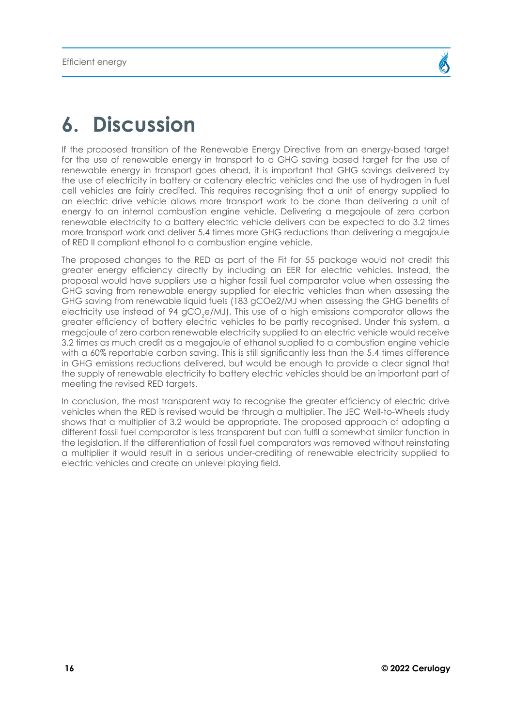### **6. Discussion**

If the proposed transition of the Renewable Energy Directive from an energy-based target for the use of renewable energy in transport to a GHG saving based target for the use of renewable energy in transport goes ahead, it is important that GHG savings delivered by the use of electricity in battery or catenary electric vehicles and the use of hydrogen in fuel cell vehicles are fairly credited. This requires recognising that a unit of energy supplied to an electric drive vehicle allows more transport work to be done than delivering a unit of energy to an internal combustion engine vehicle. Delivering a megajoule of zero carbon renewable electricity to a battery electric vehicle delivers can be expected to do 3.2 times more transport work and deliver 5.4 times more GHG reductions than delivering a megajoule of RED II compliant ethanol to a combustion engine vehicle.

The proposed changes to the RED as part of the Fit for 55 package would not credit this greater energy efficiency directly by including an EER for electric vehicles. Instead, the proposal would have suppliers use a higher fossil fuel comparator value when assessing the GHG saving from renewable energy supplied for electric vehicles than when assessing the GHG saving from renewable liquid fuels (183 gCOe2/MJ when assessing the GHG benefits of electricity use instead of 94 gCO $_{\textrm{\tiny{2}}}$ e/MJ). This use of a high emissions comparator allows the greater efficiency of battery electric vehicles to be partly recognised. Under this system, a megajoule of zero carbon renewable electricity supplied to an electric vehicle would receive 3.2 times as much credit as a megajoule of ethanol supplied to a combustion engine vehicle with a 60% reportable carbon saving. This is still significantly less than the 5.4 times difference in GHG emissions reductions delivered, but would be enough to provide a clear signal that the supply of renewable electricity to battery electric vehicles should be an important part of meeting the revised RED targets.

In conclusion, the most transparent way to recognise the greater efficiency of electric drive vehicles when the RED is revised would be through a multiplier. The JEC Well-to-Wheels study shows that a multiplier of 3.2 would be appropriate. The proposed approach of adopting a different fossil fuel comparator is less transparent but can fulfil a somewhat similar function in the legislation. If the differentiation of fossil fuel comparators was removed without reinstating a multiplier it would result in a serious under-crediting of renewable electricity supplied to electric vehicles and create an unlevel playing field.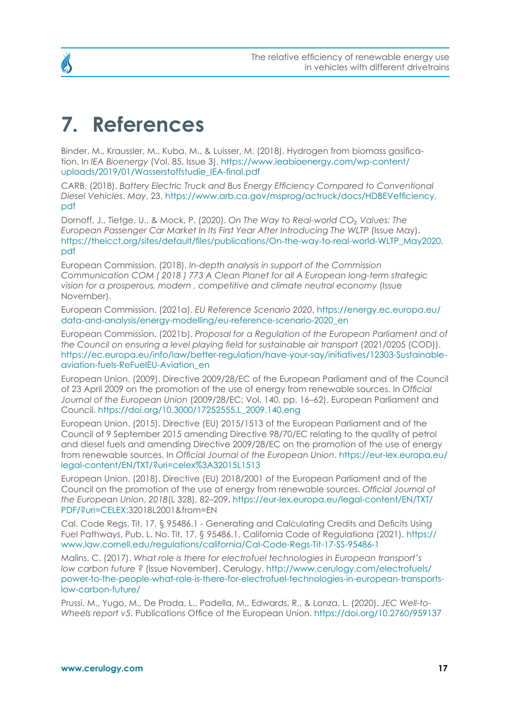### **7. References**

Binder, M., Kraussler, M., Kuba, M., & Luisser, M. (2018). Hydrogen from biomass gasification. In *IEA Bioenergy* (Vol. 85, Issue 3). [https://www.ieabioenergy.com/wp-content/](https://www.ieabioenergy.com/wp-content/uploads/2019/01/Wasserstoffstudie_IEA-final.pdf) [uploads/2019/01/Wasserstoffstudie\\_IEA-final.pdf](https://www.ieabioenergy.com/wp-content/uploads/2019/01/Wasserstoffstudie_IEA-final.pdf)

CARB. (2018). *Battery Electric Truck and Bus Energy Efficiency Compared to Conventional Diesel Vehicles*. *May*, 23. [https://www.arb.ca.gov/msprog/actruck/docs/HDBEVefficiency.](https://www.arb.ca.gov/msprog/actruck/docs/HDBEVefficiency.pdf) [pdf](https://www.arb.ca.gov/msprog/actruck/docs/HDBEVefficiency.pdf)

Dornoff, J., Tietge, U., & Mock, P. (2020). *On The Way to Real-world CO*₂ *Values: The European Passenger Car Market In Its First Year After Introducing The WLTP* (Issue May). [https://theicct.org/sites/default/files/publications/On-the-way-to-real-world-WLTP\\_May2020.](https://theicct.org/sites/default/files/publications/On-the-way-to-real-world-WLTP_May2020.pdf) [pdf](https://theicct.org/sites/default/files/publications/On-the-way-to-real-world-WLTP_May2020.pdf)

European Commission. (2018). *In-depth analysis in support of the Commission Communication COM ( 2018 ) 773 A Clean Planet for all A European long-term strategic vision for a prosperous, modern , competitive and climate neutral economy* (Issue November).

European Commission. (2021a). *EU Reference Scenario 2020*. [https://energy.ec.europa.eu/](https://energy.ec.europa.eu/data-and-analysis/energy-modelling/eu-reference-scenario-2020_en) [data-and-analysis/energy-modelling/eu-reference-scenario-2020\\_en](https://energy.ec.europa.eu/data-and-analysis/energy-modelling/eu-reference-scenario-2020_en)

European Commission. (2021b). *Proposal for a Regulation of the European Parliament and of the Council on ensuring a level playing field for sustainable air transport* (2021/0205 (COD)). [https://ec.europa.eu/info/law/better-regulation/have-your-say/initiatives/12303-Sustainable](https://ec.europa.eu/info/law/better-regulation/have-your-say/initiatives/12303-Sustainable-aviation-fuels-ReFuelEU-Aviation_en)[aviation-fuels-ReFuelEU-Aviation\\_en](https://ec.europa.eu/info/law/better-regulation/have-your-say/initiatives/12303-Sustainable-aviation-fuels-ReFuelEU-Aviation_en)

European Union. (2009). Directive 2009/28/EC of the European Parliament and of the Council of 23 April 2009 on the promotion of the use of energy from renewable sources. In *Official Journal of the European Union* (2009/28/EC; Vol. 140, pp. 16–62). European Parliament and Council. [https://doi.org/10.3000/17252555.L\\_2009.140.eng](https://doi.org/10.3000/17252555.L_2009.140.eng)

European Union. (2015). Directive (EU) 2015/1513 of the European Parliament and of the Council of 9 September 2015 amending Directive 98/70/EC relating to the quality of petrol and diesel fuels and amending Directive 2009/28/EC on the promotion of the use of energy from renewable sources. In *Official Journal of the European Union*. [https://eur-lex.europa.eu/](https://eur-lex.europa.eu/legal-content/EN/TXT/?uri=celex%3A32015L1513) [legal-content/EN/TXT/?uri=celex%3A32015L1513](https://eur-lex.europa.eu/legal-content/EN/TXT/?uri=celex%3A32015L1513)

European Union. (2018). Directive (EU) 2018/2001 of the European Parliament and of the Council on the promotion of the use of energy from renewable sources. *Official Journal of the European Union*, *2018*(L 328), 82–209. [https://eur-lex.europa.eu/legal-content/EN/TXT/](https://eur-lex.europa.eu/legal-content/EN/TXT/PDF/?uri=CELEX) [PDF/?uri=CELEX:](https://eur-lex.europa.eu/legal-content/EN/TXT/PDF/?uri=CELEX)32018L2001&from=EN

Cal. Code Regs. Tit. 17, § 95486.1 - Generating and Calculating Credits and Deficits Using Fuel Pathways, Pub. L. No. Tit. 17, § 95486.1, California Code of Regulationa (2021). [https://](https://www.law.cornell.edu/regulations/california/Cal-Code-Regs-Tit-17-SS-95486-1) [www.law.cornell.edu/regulations/california/Cal-Code-Regs-Tit-17-SS-95486-1](https://www.law.cornell.edu/regulations/california/Cal-Code-Regs-Tit-17-SS-95486-1)

Malins, C. (2017). *What role is there for electrofuel technologies in European transport's low carbon future ?* (Issue November). Cerulogy. [http://www.cerulogy.com/electrofuels/](http://www.cerulogy.com/electrofuels/power-to-the-people-what-role-is-there-for-electrofuel-technologies-in-european-transports-low-carbon-future/) [power-to-the-people-what-role-is-there-for-electrofuel-technologies-in-european-transports](http://www.cerulogy.com/electrofuels/power-to-the-people-what-role-is-there-for-electrofuel-technologies-in-european-transports-low-carbon-future/)[low-carbon-future/](http://www.cerulogy.com/electrofuels/power-to-the-people-what-role-is-there-for-electrofuel-technologies-in-european-transports-low-carbon-future/)

Prussi, M., Yugo, M., De Prada, L., Padella, M., Edwards, R., & Lonza, L. (2020). *JEC Well-to-Wheels report v5*. Publications Office of the European Union.<https://doi.org/10.2760/959137>